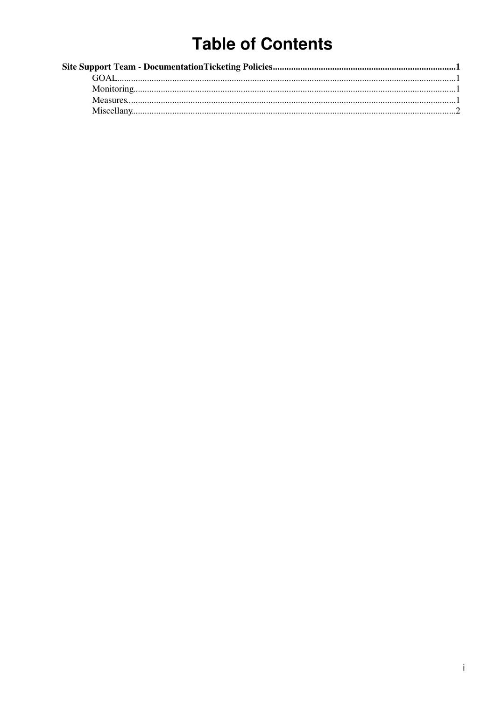# **Table of Contents**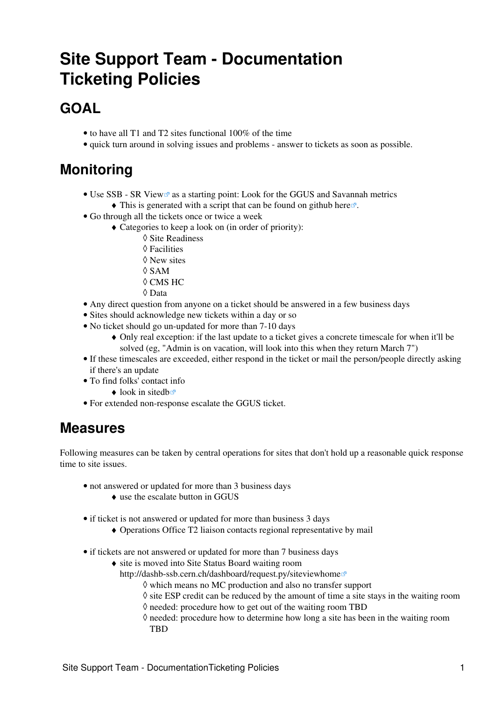# <span id="page-1-0"></span>**Site Support Team - Documentation Ticketing Policies**

## <span id="page-1-1"></span>**GOAL**

- to have all T1 and T2 sites functional 100% of the time
- quick turn around in solving issues and problems answer to tickets as soon as possible.

## <span id="page-1-2"></span>**Monitoring**

- Use [SSB SR View](https://dashb-ssb.cern.ch/dashboard/request.py/siteview#currentView=Site+Readiness&highlight=true) as a starting point: Look for the GGUS and Savannah metrics  $\blacklozenge$  This is generated with a script that can be found on github [here](https://github.com/CMSCompOps/MonitoringScripts/tree/master/GGUS)  $\blacktriangledown$ .
- Go through all the tickets once or twice a week
	- Categories to keep a look on (in order of priority): ♦
		- ◊ Site Readiness
		- ◊ Facilities
		- ◊ New sites
		- $\Diamond$  SAM
		- ◊ CMS HC
		- ◊ Data
- Any direct question from anyone on a ticket should be answered in a few business days
- Sites should acknowledge new tickets within a day or so
- No ticket should go un-updated for more than 7-10 days
	- Only real exception: if the last update to a ticket gives a concrete timescale for when it'll be ♦ solved (eg, "Admin is on vacation, will look into this when they return March 7")
- If these timescales are exceeded, either respond in the ticket or mail the person/people directly asking if there's an update
- To find folks' contact info
	- $\triangle$  look in [sitedb](https://cmsweb.cern.ch/sitedb)race
- For extended non-response escalate the GGUS ticket.

#### <span id="page-1-3"></span>**Measures**

Following measures can be taken by central operations for sites that don't hold up a reasonable quick response time to site issues.

- not answered or updated for more than 3 business days
	- $\triangle$  use the escalate button in GGUS
- if ticket is not answered or updated for more than business 3 days
	- ♦ Operations Office T2 liaison contacts regional representative by mail
- if tickets are not answered or updated for more than 7 business days
	- site is moved into Site Status Board waiting room ♦
		- <http://dashb-ssb.cern.ch/dashboard/request.py/siteviewhome>
			- ◊ which means no MC production and also no transfer support
			- $\Diamond$  site ESP credit can be reduced by the amount of time a site stays in the waiting room
			- $\Diamond$  needed: procedure how to get out of the waiting room TBD
			- ◊ needed: procedure how to determine how long a site has been in the waiting room **TBD**